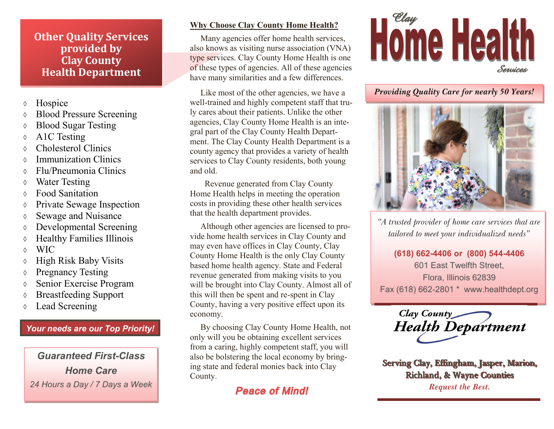### **Other Quality Services provided by Clay County Health Department**

- **b** Hospice
- Blood Pressure Screening
- Blood Sugar Testing
- ↑ A1C Testing
- Cholesterol Clinics
- Immunization Clinics
- Flu/Pneumonia Clinics
- Water Testing
- Food Sanitation
- Private Sewage Inspection
- Sewage and Nuisance
- Developmental Screening
- Healthy Families Illinois
- WIC
- High Risk Baby Visits
- ↑ Pregnancy Testing
- Senior Exercise Program
- Breastfeeding Support
- Lead Screening

# *Your needs are our Top Priority!*

*Guaranteed First-Class Home Care* 24 Hours a Day / 7 Days a Week *Peace of Mind!* Request the Best.

#### **Why Choose Clay County Home Health?**

Many agencies offer home health services, also knows as visiting nurse association (VNA) type services. Clay County Home Health is one of these types of agencies. All of these agencies have many similarities and a few differences.

 Like most of the other agencies, we have a well-trained and highly competent staff that truly cares about their patients. Unlike the other agencies, Clay County Home Health is an integral part of the Clay County Health Department. The Clay County Health Department is a county agency that provides a variety of health services to Clay County residents, both young and old.

 Revenue generated from Clay County Home Health helps in meeting the operation costs in providing these other health services that the health department provides.

 Although other agencies are licensed to provide home health services in Clay County and may even have offices in Clay County, Clay County Home Health is the only Clay County based home health agency. State and Federal revenue generated from making visits to you will be brought into Clay County. Almost all of this will then be spent and re-spent in Clay County, having a very positive effect upon its economy.

 By choosing Clay County Home Health, not only will you be obtaining excellent services from a caring, highly competent staff, you will also be bolstering the local economy by bringing state and federal monies back into Clay County.



*Providing Quality Care for nearly 50 Years!*



*"A trusted provider of home care services that are tailored to meet your individualized needs"*

**(618) 662-4406 or (800) 544-4406** 601 East Twelfth Street, Flora, Illinois 62839 Fax (618) 662-2801 \* www.healthdept.org

Clay County<br>Health Department

Ξ

Ξ

Serving Clay, Effingham, Jasper, Marion, **Richland, & Wayne Counties**